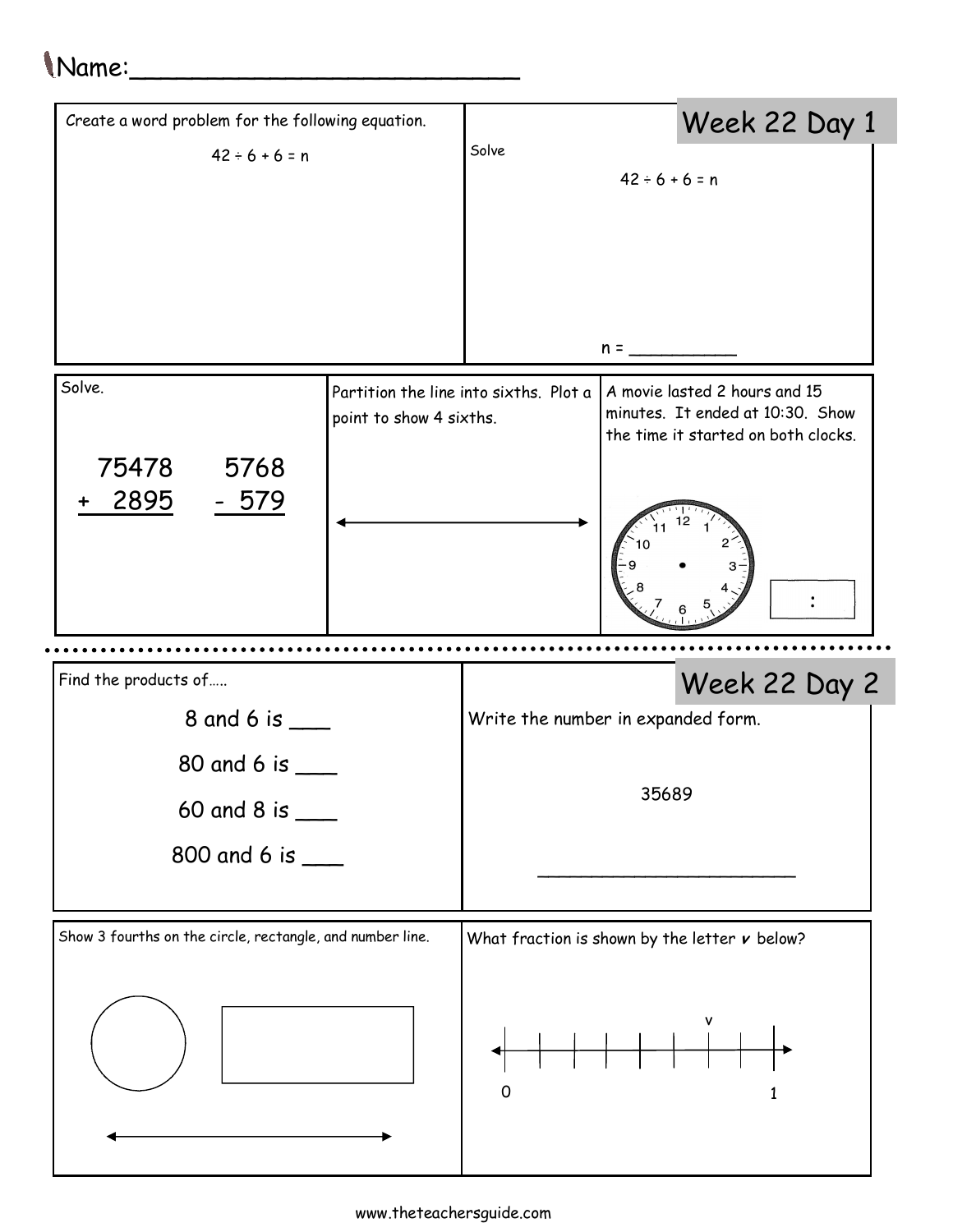## Name:\_\_\_\_\_\_\_\_\_\_\_\_\_\_\_\_\_\_\_\_\_\_\_\_\_

| Create a word problem for the following equation.         |                                    |                                                                                                                                                    | Week 22 Day 1 |               |  |  |
|-----------------------------------------------------------|------------------------------------|----------------------------------------------------------------------------------------------------------------------------------------------------|---------------|---------------|--|--|
| $42 \div 6 + 6 = n$                                       | Solve<br>$42 \div 6 + 6 = n$       |                                                                                                                                                    |               |               |  |  |
|                                                           |                                    |                                                                                                                                                    |               |               |  |  |
|                                                           |                                    |                                                                                                                                                    |               |               |  |  |
|                                                           |                                    |                                                                                                                                                    |               |               |  |  |
|                                                           |                                    |                                                                                                                                                    | $n =$         |               |  |  |
| Solve.                                                    | point to show 4 sixths.            | Partition the line into sixths. Plot a<br>A movie lasted 2 hours and 15<br>minutes. It ended at 10:30. Show<br>the time it started on both clocks. |               |               |  |  |
| 75478<br>5768                                             |                                    |                                                                                                                                                    |               |               |  |  |
| 2895<br><u>- 579</u>                                      |                                    |                                                                                                                                                    |               |               |  |  |
|                                                           |                                    |                                                                                                                                                    |               |               |  |  |
| Find the products of                                      |                                    |                                                                                                                                                    |               | Week 22 Day 2 |  |  |
| 8 and 6 is ___                                            | Write the number in expanded form. |                                                                                                                                                    |               |               |  |  |
| 80 and 6 is __                                            |                                    |                                                                                                                                                    |               |               |  |  |
| 60 and 8 is $\_\_\_\_\_\_\$                               | 35689                              |                                                                                                                                                    |               |               |  |  |
| 800 and 6 is ___                                          |                                    |                                                                                                                                                    |               |               |  |  |
|                                                           |                                    |                                                                                                                                                    |               |               |  |  |
| Show 3 fourths on the circle, rectangle, and number line. |                                    | What fraction is shown by the letter $\nu$ below?                                                                                                  |               |               |  |  |
|                                                           |                                    | $\mathbf 0$                                                                                                                                        |               | ٧             |  |  |
|                                                           |                                    |                                                                                                                                                    |               |               |  |  |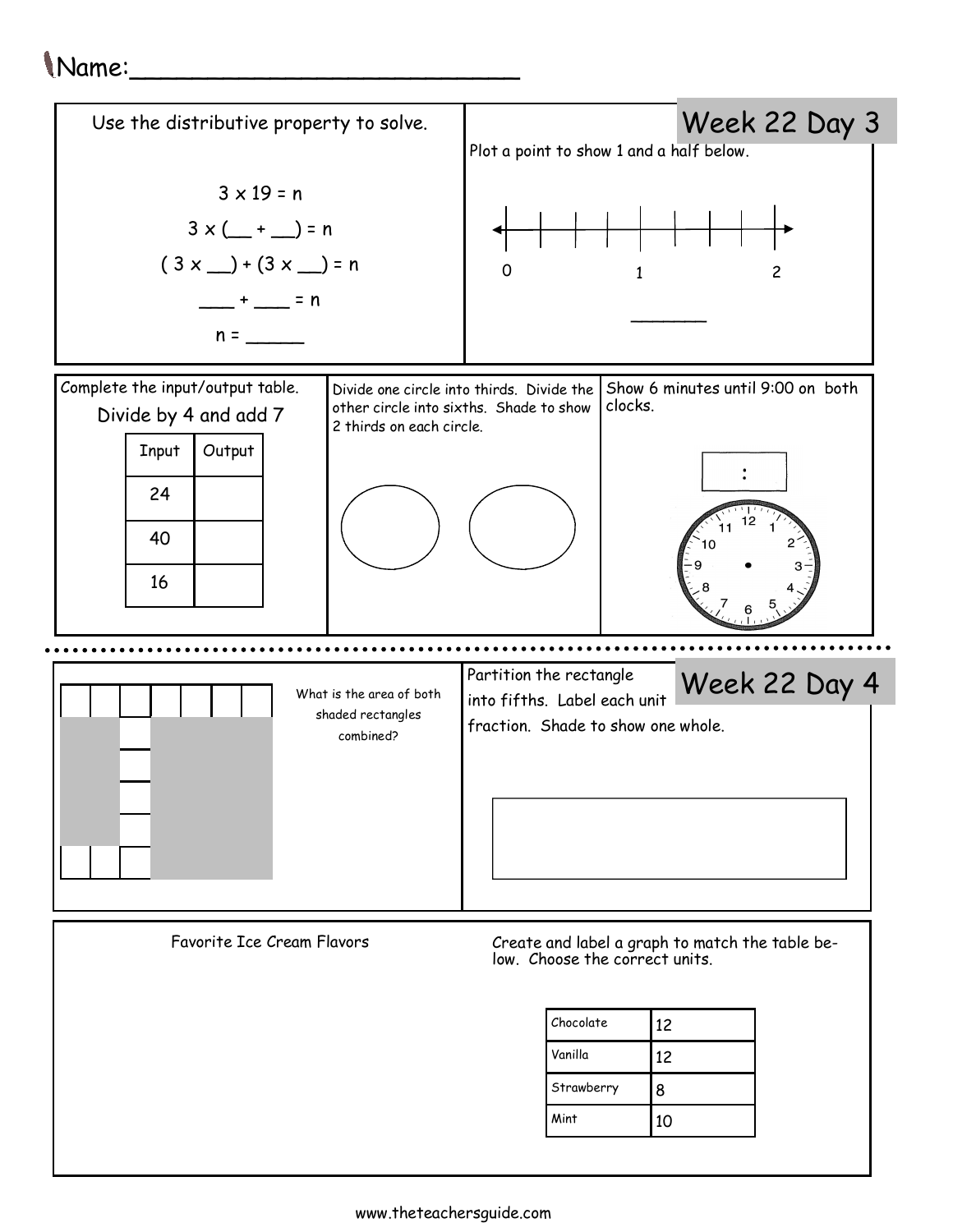## Name:\_\_\_\_\_\_\_\_\_\_\_\_\_\_\_\_\_\_\_\_\_\_\_\_\_